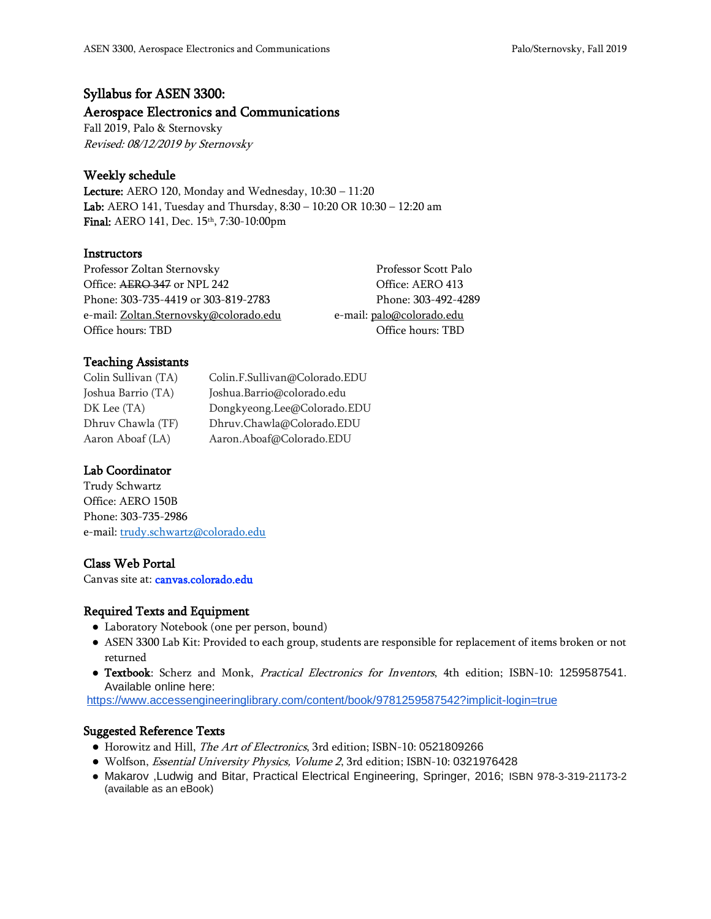# Syllabus for ASEN 3300:

### Aerospace Electronics and Communications

Fall 2019, Palo & Sternovsky Revised: 08/12/2019 by Sternovsky

## Weekly schedule

Lecture: AERO 120, Monday and Wednesday, 10:30 – 11:20 Lab: AERO 141, Tuesday and Thursday, 8:30 – 10:20 OR 10:30 – 12:20 am Final: AERO 141, Dec. 15<sup>th</sup>, 7:30-10:00pm

### **Instructors**

Professor Zoltan Sternovsky Professor Scott Palo Office: AERO 347 or NPL 242 Contract Contract Contract Contract Office: AERO 413 Phone: 303-735-4419 or 303-819-2783 Phone: 303-492-4289 e-mail[: Zoltan.Sternovsky@colorado.edu](mailto:Zoltan.Sternovsky@colorado.edu) e-mail: palo@colorado.edu Office hours: TBD Office hours: TBD Office hours: TBD Office hours: TBD Office hours: TBD Office hours: TBD Office hours: TBD Office hours: TBD Office hours: TBD Office hours: TBD Office hours: TBD Office hours: TBD Office

### Teaching Assistants

Colin Sullivan (TA) Colin.F.Sullivan@Colorado.EDU Joshua Barrio (TA) Joshua.Barrio@colorado.edu DK Lee (TA) Dongkyeong.Lee@Colorado.EDU Dhruv Chawla (TF) Dhruv.Chawla@Colorado.EDU Aaron Aboaf (LA) Aaron.Aboaf@Colorado.EDU

# Lab Coordinator

Trudy Schwartz Office: AERO 150B Phone: 303-735-2986 e-mail[: trudy.schwartz@colorado.edu](mailto:trudy.schwartz@colorado.edu)

# Class Web Portal

Canvas site at: canvas.colorado.edu

### Required Texts and Equipment

- Laboratory Notebook (one per person, bound)
- ASEN 3300 Lab Kit: Provided to each group, students are responsible for replacement of items broken or not returned
- Textbook: Scherz and Monk, Practical Electronics for Inventors, 4th edition; ISBN-10: 1259587541. Available online here:

<https://www.accessengineeringlibrary.com/content/book/9781259587542?implicit-login=true>

### Suggested Reference Texts

- Horowitz and Hill, The Art of Electronics, 3rd edition; ISBN-10: 0521809266
- Wolfson, *Essential University Physics, Volume 2*, 3rd edition; ISBN-10: 0321976428
- Makarov ,Ludwig and Bitar, Practical Electrical Engineering, Springer, 2016; ISBN 978-3-319-21173-2 (available as an eBook)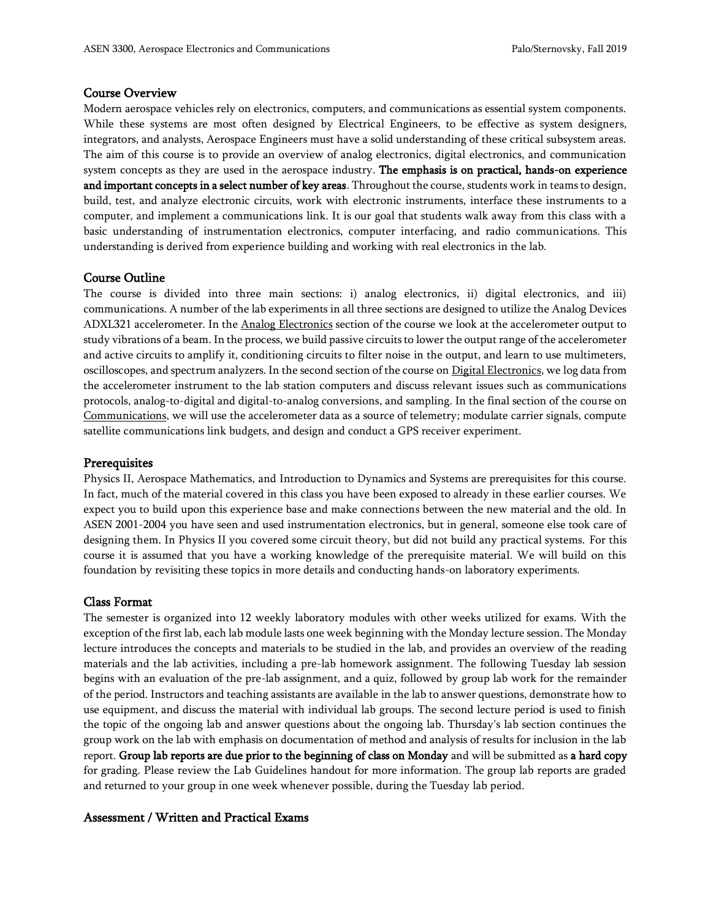#### Course Overview

Modern aerospace vehicles rely on electronics, computers, and communications as essential system components. While these systems are most often designed by Electrical Engineers, to be effective as system designers, integrators, and analysts, Aerospace Engineers must have a solid understanding of these critical subsystem areas. The aim of this course is to provide an overview of analog electronics, digital electronics, and communication system concepts as they are used in the aerospace industry. The emphasis is on practical, hands-on experience and important concepts in a select number of key areas. Throughout the course, students work in teams to design, build, test, and analyze electronic circuits, work with electronic instruments, interface these instruments to a computer, and implement a communications link. It is our goal that students walk away from this class with a basic understanding of instrumentation electronics, computer interfacing, and radio communications. This understanding is derived from experience building and working with real electronics in the lab.

### Course Outline

The course is divided into three main sections: i) analog electronics, ii) digital electronics, and iii) communications. A number of the lab experiments in all three sections are designed to utilize the Analog Devices ADXL321 accelerometer. In the Analog Electronics section of the course we look at the accelerometer output to study vibrations of a beam. In the process, we build passive circuits to lower the output range of the accelerometer and active circuits to amplify it, conditioning circuits to filter noise in the output, and learn to use multimeters, oscilloscopes, and spectrum analyzers. In the second section of the course on Digital Electronics, we log data from the accelerometer instrument to the lab station computers and discuss relevant issues such as communications protocols, analog-to-digital and digital-to-analog conversions, and sampling. In the final section of the course on Communications, we will use the accelerometer data as a source of telemetry; modulate carrier signals, compute satellite communications link budgets, and design and conduct a GPS receiver experiment.

#### **Prerequisites**

Physics II, Aerospace Mathematics, and Introduction to Dynamics and Systems are prerequisites for this course. In fact, much of the material covered in this class you have been exposed to already in these earlier courses. We expect you to build upon this experience base and make connections between the new material and the old. In ASEN 2001-2004 you have seen and used instrumentation electronics, but in general, someone else took care of designing them. In Physics II you covered some circuit theory, but did not build any practical systems. For this course it is assumed that you have a working knowledge of the prerequisite material. We will build on this foundation by revisiting these topics in more details and conducting hands-on laboratory experiments.

### Class Format

The semester is organized into 12 weekly laboratory modules with other weeks utilized for exams. With the exception of the first lab, each lab module lasts one week beginning with the Monday lecture session. The Monday lecture introduces the concepts and materials to be studied in the lab, and provides an overview of the reading materials and the lab activities, including a pre-lab homework assignment. The following Tuesday lab session begins with an evaluation of the pre-lab assignment, and a quiz, followed by group lab work for the remainder of the period. Instructors and teaching assistants are available in the lab to answer questions, demonstrate how to use equipment, and discuss the material with individual lab groups. The second lecture period is used to finish the topic of the ongoing lab and answer questions about the ongoing lab. Thursday's lab section continues the group work on the lab with emphasis on documentation of method and analysis of results for inclusion in the lab report. Group lab reports are due prior to the beginning of class on Monday and will be submitted as a hard copy for grading. Please review the Lab Guidelines handout for more information. The group lab reports are graded and returned to your group in one week whenever possible, during the Tuesday lab period.

### Assessment / Written and Practical Exams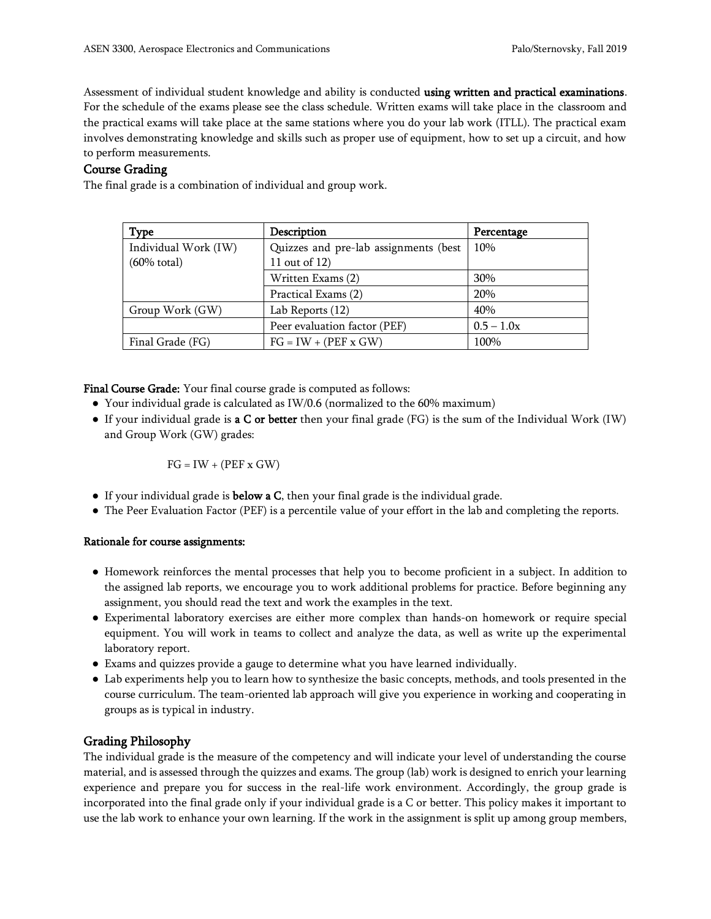Assessment of individual student knowledge and ability is conducted using written and practical examinations. For the schedule of the exams please see the class schedule. Written exams will take place in the classroom and the practical exams will take place at the same stations where you do your lab work (ITLL). The practical exam involves demonstrating knowledge and skills such as proper use of equipment, how to set up a circuit, and how to perform measurements.

### Course Grading

The final grade is a combination of individual and group work.

| <b>Type</b>            | Description                           | Percentage   |
|------------------------|---------------------------------------|--------------|
| Individual Work (IW)   | Quizzes and pre-lab assignments (best | 10%          |
| $(60\% \text{ total})$ | 11 out of 12)                         |              |
|                        | Written Exams (2)                     | 30%          |
|                        | Practical Exams (2)                   | 20%          |
| Group Work (GW)        | Lab Reports (12)                      | 40%          |
|                        | Peer evaluation factor (PEF)          | $0.5 - 1.0x$ |
| Final Grade (FG)       | $FG = IW + (PEF x GW)$                | 100%         |

Final Course Grade: Your final course grade is computed as follows:

- Your individual grade is calculated as IW/0.6 (normalized to the 60% maximum)
- If your individual grade is **a C or better** then your final grade (FG) is the sum of the Individual Work (IW) and Group Work (GW) grades:

$$
FG = IW + (PEF x GW)
$$

- If your individual grade is **below a C**, then your final grade is the individual grade.
- The Peer Evaluation Factor (PEF) is a percentile value of your effort in the lab and completing the reports.

### Rationale for course assignments:

- Homework reinforces the mental processes that help you to become proficient in a subject. In addition to the assigned lab reports, we encourage you to work additional problems for practice. Before beginning any assignment, you should read the text and work the examples in the text.
- Experimental laboratory exercises are either more complex than hands-on homework or require special equipment. You will work in teams to collect and analyze the data, as well as write up the experimental laboratory report.
- Exams and quizzes provide a gauge to determine what you have learned individually.
- Lab experiments help you to learn how to synthesize the basic concepts, methods, and tools presented in the course curriculum. The team-oriented lab approach will give you experience in working and cooperating in groups as is typical in industry.

# Grading Philosophy

The individual grade is the measure of the competency and will indicate your level of understanding the course material, and is assessed through the quizzes and exams. The group (lab) work is designed to enrich your learning experience and prepare you for success in the real-life work environment. Accordingly, the group grade is incorporated into the final grade only if your individual grade is a C or better. This policy makes it important to use the lab work to enhance your own learning. If the work in the assignment is split up among group members,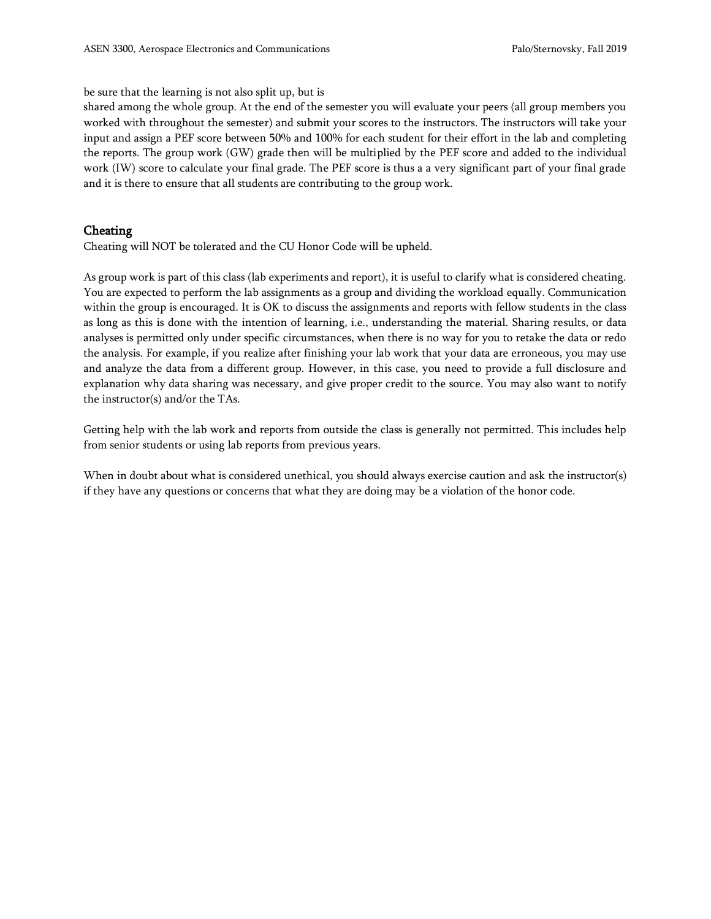#### be sure that the learning is not also split up, but is

shared among the whole group. At the end of the semester you will evaluate your peers (all group members you worked with throughout the semester) and submit your scores to the instructors. The instructors will take your input and assign a PEF score between 50% and 100% for each student for their effort in the lab and completing the reports. The group work (GW) grade then will be multiplied by the PEF score and added to the individual work (IW) score to calculate your final grade. The PEF score is thus a a very significant part of your final grade and it is there to ensure that all students are contributing to the group work.

### Cheating

Cheating will NOT be tolerated and the CU Honor Code will be upheld.

As group work is part of this class (lab experiments and report), it is useful to clarify what is considered cheating. You are expected to perform the lab assignments as a group and dividing the workload equally. Communication within the group is encouraged. It is OK to discuss the assignments and reports with fellow students in the class as long as this is done with the intention of learning, i.e., understanding the material. Sharing results, or data analyses is permitted only under specific circumstances, when there is no way for you to retake the data or redo the analysis. For example, if you realize after finishing your lab work that your data are erroneous, you may use and analyze the data from a different group. However, in this case, you need to provide a full disclosure and explanation why data sharing was necessary, and give proper credit to the source. You may also want to notify the instructor(s) and/or the TAs.

Getting help with the lab work and reports from outside the class is generally not permitted. This includes help from senior students or using lab reports from previous years.

When in doubt about what is considered unethical, you should always exercise caution and ask the instructor(s) if they have any questions or concerns that what they are doing may be a violation of the honor code.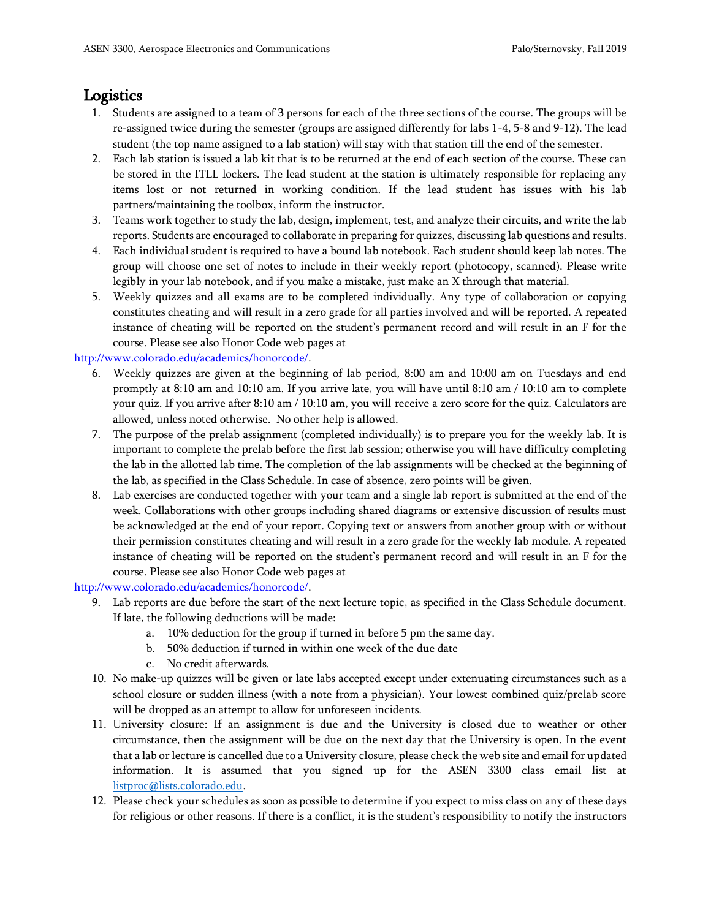# **Logistics**

- 1. Students are assigned to a team of 3 persons for each of the three sections of the course. The groups will be re-assigned twice during the semester (groups are assigned differently for labs 1-4, 5-8 and 9-12). The lead student (the top name assigned to a lab station) will stay with that station till the end of the semester.
- 2. Each lab station is issued a lab kit that is to be returned at the end of each section of the course. These can be stored in the ITLL lockers. The lead student at the station is ultimately responsible for replacing any items lost or not returned in working condition. If the lead student has issues with his lab partners/maintaining the toolbox, inform the instructor.
- 3. Teams work together to study the lab, design, implement, test, and analyze their circuits, and write the lab reports. Students are encouraged to collaborate in preparing for quizzes, discussing lab questions and results.
- 4. Each individual student is required to have a bound lab notebook. Each student should keep lab notes. The group will choose one set of notes to include in their weekly report (photocopy, scanned). Please write legibly in your lab notebook, and if you make a mistake, just make an X through that material.
- 5. Weekly quizzes and all exams are to be completed individually. Any type of collaboration or copying constitutes cheating and will result in a zero grade for all parties involved and will be reported. A repeated instance of cheating will be reported on the student's permanent record and will result in an F for the course. Please see also Honor Code web pages at

### http://www.colorado.edu/academics/honorcode/.

- 6. Weekly quizzes are given at the beginning of lab period, 8:00 am and 10:00 am on Tuesdays and end promptly at 8:10 am and 10:10 am. If you arrive late, you will have until 8:10 am / 10:10 am to complete your quiz. If you arrive after 8:10 am / 10:10 am, you will receive a zero score for the quiz. Calculators are allowed, unless noted otherwise. No other help is allowed.
- 7. The purpose of the prelab assignment (completed individually) is to prepare you for the weekly lab. It is important to complete the prelab before the first lab session; otherwise you will have difficulty completing the lab in the allotted lab time. The completion of the lab assignments will be checked at the beginning of the lab, as specified in the Class Schedule. In case of absence, zero points will be given.
- 8. Lab exercises are conducted together with your team and a single lab report is submitted at the end of the week. Collaborations with other groups including shared diagrams or extensive discussion of results must be acknowledged at the end of your report. Copying text or answers from another group with or without their permission constitutes cheating and will result in a zero grade for the weekly lab module. A repeated instance of cheating will be reported on the student's permanent record and will result in an F for the course. Please see also Honor Code web pages at

http://www.colorado.edu/academics/honorcode/.

- 9. Lab reports are due before the start of the next lecture topic, as specified in the Class Schedule document. If late, the following deductions will be made:
	- a. 10% deduction for the group if turned in before 5 pm the same day.
	- b. 50% deduction if turned in within one week of the due date
	- c. No credit afterwards.
- 10. No make-up quizzes will be given or late labs accepted except under extenuating circumstances such as a school closure or sudden illness (with a note from a physician). Your lowest combined quiz/prelab score will be dropped as an attempt to allow for unforeseen incidents.
- 11. University closure: If an assignment is due and the University is closed due to weather or other circumstance, then the assignment will be due on the next day that the University is open. In the event that a lab or lecture is cancelled due to a University closure, please check the web site and email for updated information. It is assumed that you signed up for the ASEN 3300 class email list at [listproc@lists.colorado.edu.](mailto:listproc@lists.colorado.edu)
- 12. Please check your schedules as soon as possible to determine if you expect to miss class on any of these days for religious or other reasons. If there is a conflict, it is the student's responsibility to notify the instructors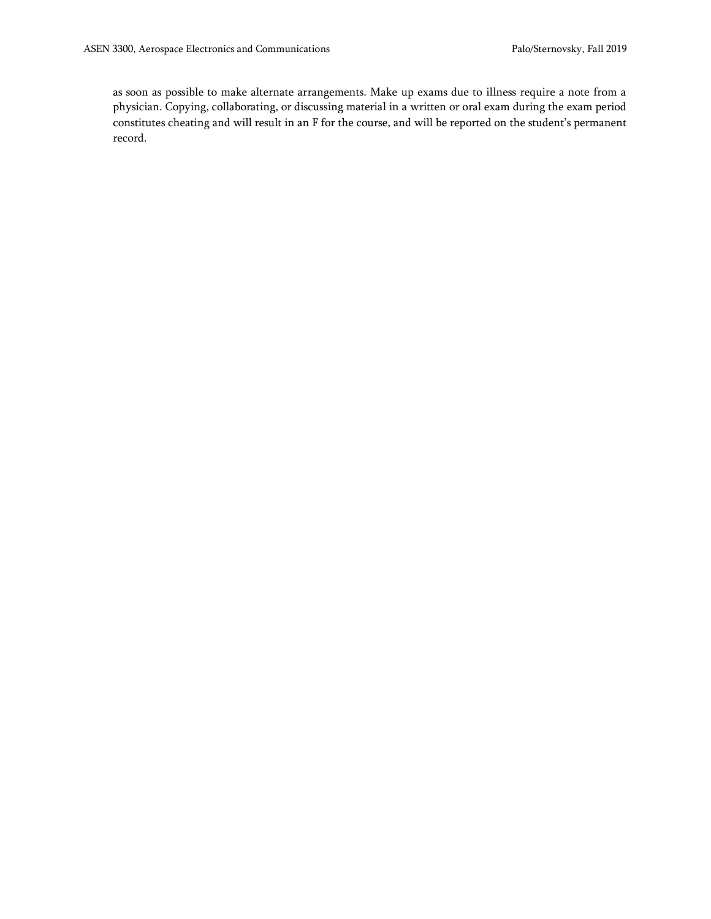as soon as possible to make alternate arrangements. Make up exams due to illness require a note from a physician. Copying, collaborating, or discussing material in a written or oral exam during the exam period constitutes cheating and will result in an F for the course, and will be reported on the student's permanent record.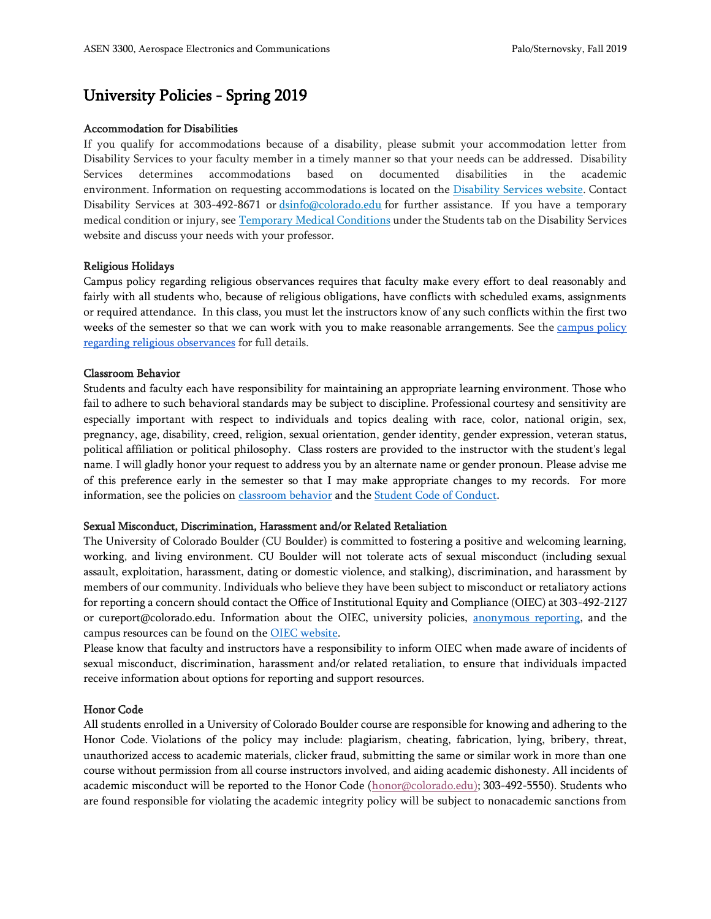# University Policies - Spring 2019

#### Accommodation for Disabilities

If you qualify for accommodations because of a disability, please submit your accommodation letter from Disability Services to your faculty member in a timely manner so that your needs can be addressed. Disability Services determines accommodations based on documented disabilities in the academic environment. Information on requesting accommodations is located on the [Disability Services website.](https://www.colorado.edu/disabilityservices/students) Contact Disability Services at 303-492-8671 or [dsinfo@colorado.edu](mailto:dsinfo@colorado.edu) for further assistance. If you have a temporary medical condition or injury, see [Temporary Medical Conditions](https://www.colorado.edu/disabilityservices/students/temporary-medical-conditions) under the Students tab on the Disability Services website and discuss your needs with your professor.

#### Religious Holidays

Campus policy regarding religious observances requires that faculty make every effort to deal reasonably and fairly with all students who, because of religious obligations, have conflicts with scheduled exams, assignments or required attendance. In this class, you must let the instructors know of any such conflicts within the first two weeks of the semester so that we can work with you to make reasonable arrangements. See the campus policy [regarding religious observances](http://click.communications.cu.edu/?qs=08d3674921e9b645ce0fbdac3ac8caadaf4afb347ce7364baed5e52ffb967344bed27273e82c8bc9) for full details.

#### Classroom Behavior

Students and faculty each have responsibility for maintaining an appropriate learning environment. Those who fail to adhere to such behavioral standards may be subject to discipline. Professional courtesy and sensitivity are especially important with respect to individuals and topics dealing with race, color, national origin, sex, pregnancy, age, disability, creed, religion, sexual orientation, gender identity, gender expression, veteran status, political affiliation or political philosophy. Class rosters are provided to the instructor with the student's legal name. I will gladly honor your request to address you by an alternate name or gender pronoun. Please advise me of this preference early in the semester so that I may make appropriate changes to my records. For more information, see the policies on [classroom behavior](http://www.colorado.edu/policies/student-classroom-and-course-related-behavior) and th[e Student Code of Conduct.](http://www.colorado.edu/osccr/)

#### Sexual Misconduct, Discrimination, Harassment and/or Related Retaliation

The University of Colorado Boulder (CU Boulder) is committed to fostering a positive and welcoming learning, working, and living environment. CU Boulder will not tolerate acts of sexual misconduct (including sexual assault, exploitation, harassment, dating or domestic violence, and stalking), discrimination, and harassment by members of our community. Individuals who believe they have been subject to misconduct or retaliatory actions for reporting a concern should contact the Office of Institutional Equity and Compliance (OIEC) at 303-492-2127 or cureport@colorado.edu. Information about the OIEC, university policies, [anonymous reporting,](https://cuboulder.qualtrics.com/jfe/form/SV_0PnqVK4kkIJIZnf) and the campus resources can be found on the [OIEC website.](http://www.colorado.edu/institutionalequity/)

Please know that faculty and instructors have a responsibility to inform OIEC when made aware of incidents of sexual misconduct, discrimination, harassment and/or related retaliation, to ensure that individuals impacted receive information about options for reporting and support resources.

#### Honor Code

All students enrolled in a University of Colorado Boulder course are responsible for knowing and adhering to the Honor Code. Violations of the policy may include: plagiarism, cheating, fabrication, lying, bribery, threat, unauthorized access to academic materials, clicker fraud, submitting the same or similar work in more than one course without permission from all course instructors involved, and aiding academic dishonesty. All incidents of academic misconduct will be reported to the Honor Code [\(honor@colorado.edu\)](mailto:honor@colorado.edu); 303-492-5550). Students who are found responsible for violating the academic integrity policy will be subject to nonacademic sanctions from